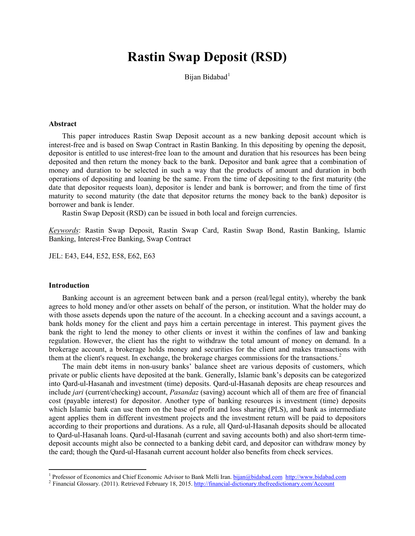# **Rastin Swap Deposit (RSD)**

Bijan Bidabad<sup>[1](#page-0-0)</sup>

# **Abstract**

This paper introduces Rastin Swap Deposit account as a new banking deposit account which is interest-free and is based on Swap Contract in Rastin Banking. In this depositing by opening the deposit, depositor is entitled to use interest-free loan to the amount and duration that his resources has been being deposited and then return the money back to the bank. Depositor and bank agree that a combination of money and duration to be selected in such a way that the products of amount and duration in both operations of depositing and loaning be the same. From the time of depositing to the first maturity (the date that depositor requests loan), depositor is lender and bank is borrower; and from the time of first maturity to second maturity (the date that depositor returns the money back to the bank) depositor is borrower and bank is lender.

Rastin Swap Deposit (RSD) can be issued in both local and foreign currencies.

*Keywords*: Rastin Swap Deposit, Rastin Swap Card, Rastin Swap Bond, Rastin Banking, Islamic Banking, Interest-Free Banking, Swap Contract

JEL: E43, E44, E52, E58, E62, E63

#### **Introduction**

Banking account is an agreement between bank and a person (real/legal entity), whereby the bank agrees to hold money and/or other assets on behalf of the person, or institution. What the holder may do with those assets depends upon the nature of the account. In a checking account and a savings account, a bank holds money for the client and pays him a certain percentage in interest. This payment gives the bank the right to lend the money to other clients or invest it within the confines of law and banking regulation. However, the client has the right to withdraw the total amount of money on demand. In a brokerage account, a brokerage holds money and securities for the client and makes transactions with them at the client's request. In exchange, the brokerage charges commissions for the transactions.<sup>[2](#page-0-1)</sup>

The main debt items in non-usury banks' balance sheet are various deposits of customers, which private or public clients have deposited at the bank. Generally, Islamic bank's deposits can be categorized into Qard-ul-Hasanah and investment (time) deposits. Qard-ul-Hasanah deposits are cheap resources and include *jari* (current/checking) account, *Pasandaz* (saving) account which all of them are free of financial cost (payable interest) for depositor. Another type of banking resources is investment (time) deposits which Islamic bank can use them on the base of profit and loss sharing (PLS), and bank as intermediate agent applies them in different investment projects and the investment return will be paid to depositors according to their proportions and durations. As a rule, all Qard-ul-Hasanah deposits should be allocated to Qard-ul-Hasanah loans. Qard-ul-Hasanah (current and saving accounts both) and also short-term timedeposit accounts might also be connected to a banking debit card, and depositor can withdraw money by the card; though the Qard-ul-Hasanah current account holder also benefits from check services.

<span id="page-0-0"></span><sup>&</sup>lt;sup>1</sup> Professor of Economics and Chief Economic Advisor to Bank Melli Iran. bijan@bidabad.com http://www.bidabad.com

<span id="page-0-1"></span><sup>&</sup>lt;sup>2</sup> Financial Glossary. (2011). Retrieved February 18, 2015. <http://financial-dictionary.thefreedictionary.com/Account>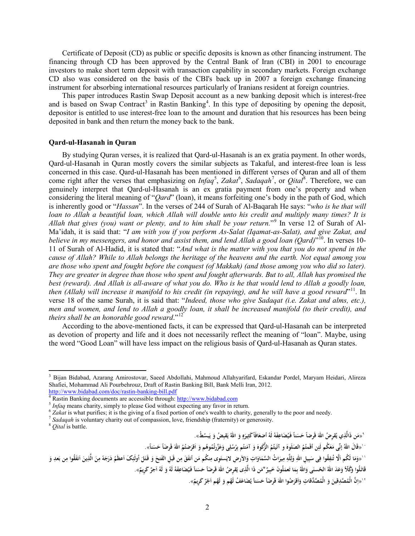Certificate of Deposit (CD) as public or specific deposits is known as other financing instrument. The financing through CD has been approved by the Central Bank of Iran (CBI) in 2001 to encourage investors to make short term deposit with transaction capability in secondary markets. Foreign exchange CD also was considered on the basis of the CBI's back up in 2007 a foreign exchange financing instrument for absorbing international resources particularly of Iranians resident at foreign countries.

This paper introduces Rastin Swap Deposit account as a new banking deposit which is interest-free and is based on Swap Contract<sup>[3](#page-1-0)</sup> in Rastin Banking<sup>[4](#page-1-1)</sup>. In this type of depositing by opening the deposit, depositor is entitled to use interest-free loan to the amount and duration that his resources has been being deposited in bank and then return the money back to the bank.

## **Qard-ul-Hasanah in Quran**

By studying Quran verses, it is realized that Qard-ul-Hasanah is an ex gratia payment. In other words, Qard-ul-Hasanah in Quran mostly covers the similar subjects as Takaful, and interest-free loan is less concerned in this case. Qard-ul-Hasanah has been mentioned in different verses of Quran and all of them come right after the verses that emphasizing on *Infaq<sup>[5](#page-1-2)</sup>*, *Zakat<sup>[6](#page-1-3)</sup>*, *Sadaqah<sup>[7](#page-1-4)</sup>*, or *Qital*<sup>[8](#page-1-5)</sup>. Therefore, we can genuinely interpret that Qard-ul-Hasanah is an ex gratia payment from one's property and when considering the literal meaning of "*Qard*" (loan), it means forfeiting one's body in the path of God, which is inherently good or "*Hassan*". In the verses of 244 of Surah of Al-Baqarah He says: "*who is he that will loan to Allah a beautiful loan, which Allah will double unto his credit and multiply many times? It is Allah that gives (you) want or plenty, and to him shall be your return.*"[9](#page-1-6) In verse 12 of Surah of Al-Ma'idah, it is said that: "*I am with you if you perform As-Salat (Iqamat-as-Salat), and give Zakat, and believe in my messengers, and honor and assist them, and lend Allah a good loan (Oard)*<sup>"[10](#page-1-7)</sup>. In verses 10-11 of Surah of Al-Hadid, it is stated that: "*And what is the matter with you that you do not spend in the cause of Allah? While to Allah belongs the heritage of the heavens and the earth. Not equal among you are those who spent and fought before the conquest (of Makkah) (and those among you who did so later). They are greater in degree than those who spent and fought afterwards. But to all, Allah has promised the best (reward). And Allah is all-aware of what you do. Who is he that would lend to Allah a goodly loan, then (Allah) will increase it manifold to his credit (in repaying), and he will have a good reward*"[11](#page-1-8). In verse 18 of the same Surah, it is said that: "*Indeed, those who give Sadaqat (i.e. Zakat and alms, etc.), men and women, and lend to Allah a goodly loan, it shall be increased manifold (to their credit), and theirs shall be an honorable good reward.*"<sup>[12](#page-1-9)</sup>

According to the above-mentioned facts, it can be expressed that Qard-ul-Hasanah can be interpreted as devotion of property and life and it does not necessarily reflect the meaning of "loan". Maybe, using the word "Good Loan" will have less impact on the religious basis of Qard-ul-Hasanah as Quran states.

l

<span id="page-1-9"></span><span id="page-1-8"></span><span id="page-1-7"></span><span id="page-1-6"></span><span id="page-1-5"></span>\*«مَن ذَالَّذِي يُقرِضُ اللَّهَ قَرضاً حَسَناً فَيُضَاعِفَهُ لَهُ أضِعَافَاً كَثِيرَهٍ وَ اللهُ يَقبِضُ وَ يَبسُطُ». **ِِ ٍ** `` «قَالَ اللَّهُ إِنِّى مَعَكُم لَئِن أَقَمتُمُ الصَلَوِهَ و آتَيتُمُ الزَّكَوهَ وَ آمَنتُم بِرُسُلِى وَعَزّرتُمُوهُم وَ أقرَضتُمُ اللهَ قَرضَاً حَسَناً». ' «وَمَا لَكُم اَلَّا تُنفِقُوا فِى سَبِيلِ اللهِ وَلِلَّهِ مِيرَاتُ السَّمَاوَاتِ وَالأرضِ لايَستَوِى مِنكُم مَن أنفَقَ مِن قَبلِ الفَتحَ وَ قَتَلَ أُولَئِكَ اَعظَمُ دَرَجَهً مِنَ الَّذِينَ اَنفَقُوا مِن بَعدِ وَ **ِِ ل َ َ ِ َ ِا** قَاتَلُوا وَكُلًّا وَعَدَ اللَّهُ الحُسنَى وَاللَّهُ بِمَا تَعمَلُونَ خَبِيرٌ \*مَن ذَا الَّذِى يُقرِصُ اللهَ قَرضَاً حَسَناً فَيُضَاعِفَهُ لَهُ وَ لَهُ اَجرٌ كَرِيمٌ». **َ** `` «اِنَّ الْمُصَّدِقِينَ وَ الْمُصَّدِّقَاتِ وَاَقْرَضُوا اللَّهَ قَرضَاً حَسَناً يُضَاعَفُ لَهُم وَ لَهُم اَجْرٌ كَرِيمٌ». **ا َ**

<span id="page-1-0"></span><sup>3</sup> Bijan Bidabad, Azarang Amirostovar, Saeed Abdollahi, Mahmoud Allahyarifard, Eskandar Pordel, Maryam Heidari, Alireza Shafiei, Mohammad Ali Pourbehrouz, Draft of Rastin Banking Bill, Bank Melli Iran, 2012.

<span id="page-1-3"></span><span id="page-1-2"></span>

<span id="page-1-1"></span><http://www.bidabad.com/doc/rastin-banking-bill.pdf><br>
<sup>4</sup> Rastin Banking documents are accessible through[: http://www.bidabad.com](http://www.bidabad.com/)<br>
<sup>5</sup> *Infaq* means charity, simply to please God without expecting any favor in return.<br>
<sup>6</sup>

<span id="page-1-4"></span>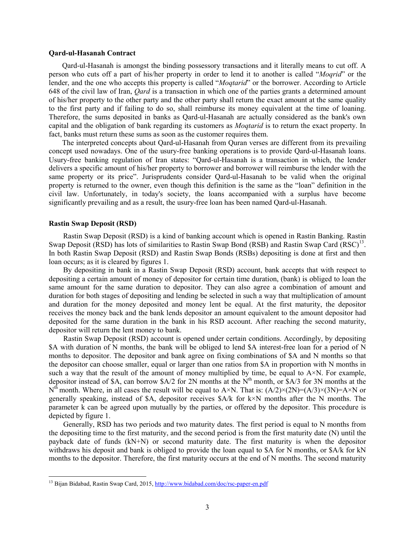#### **Qard-ul-Hasanah Contract**

Qard-ul-Hasanah is amongst the binding possessory transactions and it literally means to cut off. A person who cuts off a part of his/her property in order to lend it to another is called "*Moqrid*" or the lender, and the one who accepts this property is called "*Moqtarid*" or the borrower. According to Article 648 of the civil law of Iran, *Qard* is a transaction in which one of the parties grants a determined amount of his/her property to the other party and the other party shall return the exact amount at the same quality to the first party and if failing to do so, shall reimburse its money equivalent at the time of loaning. Therefore, the sums deposited in banks as Qard-ul-Hasanah are actually considered as the bank's own capital and the obligation of bank regarding its customers as *Moqtarid* is to return the exact property. In fact, banks must return these sums as soon as the customer requires them.

The interpreted concepts about Qard-ul-Hasanah from Quran verses are different from its prevailing concept used nowadays. One of the usury-free banking operations is to provide Qard-ul-Hasanah loans. Usury-free banking regulation of Iran states: "Qard-ul-Hasanah is a transaction in which, the lender delivers a specific amount of his/her property to borrower and borrower will reimburse the lender with the same property or its price". Jurisprudents consider Qard-ul-Hasanah to be valid when the original property is returned to the owner, even though this definition is the same as the "loan" definition in the civil law. Unfortunately, in today's society, the loans accompanied with a surplus have become significantly prevailing and as a result, the usury-free loan has been named Qard-ul-Hasanah.

### **Rastin Swap Deposit (RSD)**

l

Rastin Swap Deposit (RSD) is a kind of banking account which is opened in Rastin Banking. Rastin Swap Deposit (RSD) has lots of similarities to Rastin Swap Bond (RSB) and Rastin Swap Card (RSC)<sup>[13](#page-2-0)</sup>. In both Rastin Swap Deposit (RSD) and Rastin Swap Bonds (RSBs) depositing is done at first and then loan occurs; as it is cleared by figures 1.

By depositing in bank in a Rastin Swap Deposit (RSD) account, bank accepts that with respect to depositing a certain amount of money of depositor for certain time duration, (bank) is obliged to loan the same amount for the same duration to depositor. They can also agree a combination of amount and duration for both stages of depositing and lending be selected in such a way that multiplication of amount and duration for the money deposited and money lent be equal. At the first maturity, the depositor receives the money back and the bank lends depositor an amount equivalent to the amount depositor had deposited for the same duration in the bank in his RSD account. After reaching the second maturity, depositor will return the lent money to bank.

Rastin Swap Deposit (RSD) account is opened under certain conditions. Accordingly, by depositing \$A with duration of N months, the bank will be obliged to lend \$A interest-free loan for a period of N months to depositor. The depositor and bank agree on fixing combinations of \$A and N months so that the depositor can choose smaller, equal or larger than one ratios from \$A in proportion with N months in such a way that the result of the amount of money multiplied by time, be equal to  $A \times N$ . For example, depositor instead of \$A, can borrow  $A/2$  for 2N months at the N<sup>th</sup> month, or  $A/3$  for 3N months at the  $N^{th}$  month. Where, in all cases the result will be equal to A×N. That is:  $(A/2) \times (2N)=(A/3) \times (3N)=A \times N$  or generally speaking, instead of  $\AA$ , depositor receives  $\AA$ /k for k×N months after the N months. The parameter k can be agreed upon mutually by the parties, or offered by the depositor. This procedure is depicted by figure 1.

Generally, RSD has two periods and two maturity dates. The first period is equal to N months from the depositing time to the first maturity, and the second period is from the first maturity date (N) until the payback date of funds (kN+N) or second maturity date. The first maturity is when the depositor withdraws his deposit and bank is obliged to provide the loan equal to \$A for N months, or \$A/k for kN months to the depositor. Therefore, the first maturity occurs at the end of N months. The second maturity

<span id="page-2-0"></span><sup>&</sup>lt;sup>13</sup> Bijan Bidabad, Rastin Swap Card, 2015[, http://www.bidabad.com/doc/rsc-paper-en.pdf](http://www.bidabad.com/doc/rsc-paper-en.pdf)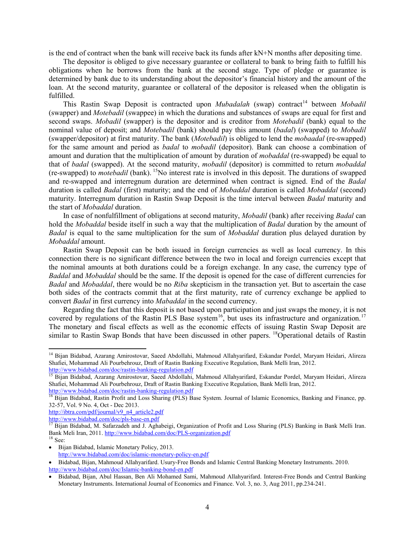is the end of contract when the bank will receive back its funds after kN+N months after depositing time.

The depositor is obliged to give necessary guarantee or collateral to bank to bring faith to fulfill his obligations when he borrows from the bank at the second stage. Type of pledge or guarantee is determined by bank due to its understanding about the depositor's financial history and the amount of the loan. At the second maturity, guarantee or collateral of the depositor is released when the obligatin is fulfilled.

This Rastin Swap Deposit is contracted upon *Mubadalah* (swap) contract<sup>[14](#page-3-0)</sup> between *Mobadil* (swapper) and *Motebadil* (swappee) in which the durations and substances of swaps are equal for first and second swaps. *Mobadil* (swapper) is the depositor and is creditor from *Motebadil* (bank) equal to the nominal value of deposit; and *Motebadil* (bank) should pay this amount (*badal*) (swapped) to *Mobadil* (swapper/depositor) at first maturity. The bank (*Motebadil*) is obliged to lend the *mobaadal* (re-swapped) for the same amount and period as *badal* to *mobadil* (depositor). Bank can choose a combination of amount and duration that the multiplication of amount by duration of *mobaddal* (re-swapped) be equal to that of *badal* (swapped). At the second maturity, *mobadil* (depositor) is committed to return *mobaddal* (re-swapped) to *motebadil* (bank). <sup>15</sup>No interest rate is involved in this deposit. The durations of swapped and re-swapped and interregnum duration are determined when contract is signed. End of the *Badal* duration is called *Badal* (first) maturity; and the end of *Mobaddal* duration is called *Mobaddal* (second) maturity. Interregnum duration in Rastin Swap Deposit is the time interval between *Badal* maturity and the start of *Mobaddal* duration.

In case of nonfulfillment of obligations at second maturity, *Mobadil* (bank) after receiving *Badal* can hold the *Mobaddal* beside itself in such a way that the multiplication of *Badal* duration by the amount of *Badal* is equal to the same multiplication for the sum of *Mobaddal* duration plus delayed duration by *Mobaddal* amount.

Rastin Swap Deposit can be both issued in foreign currencies as well as local currency. In this connection there is no significant difference between the two in local and foreign currencies except that the nominal amounts at both durations could be a foreign exchange. In any case, the currency type of *Baddal* and *Mobaddal* should be the same. If the deposit is opened for the case of different currencies for *Badal* and *Mobaddal*, there would be no *Riba* skepticism in the transaction yet. But to ascertain the case both sides of the contracts commit that at the first maturity, rate of currency exchange be applied to convert *Badal* in first currency into *Mabaddal* in the second currency.

Regarding the fact that this deposit is not based upon participation and just swaps the money, it is not covered by regulations of the Rastin PLS Base system<sup>16</sup>, but uses its infrastructure and organization.<sup>[17](#page-3-2)</sup> The monetary and fiscal effects as well as the economic effects of issuing Rastin Swap Deposit are similar to Rastin Swap Bonds that have been discussed in other papers. <sup>18</sup>Operational details of Rastin

 $\overline{\phantom{a}}$ 

<span id="page-3-0"></span><sup>&</sup>lt;sup>14</sup> Bijan Bidabad, Azarang Amirostovar, Saeed Abdollahi, Mahmoud Allahyarifard, Eskandar Pordel, Maryam Heidari, Alireza Shafiei, Mohammad Ali Pourbehrouz, Draft of Rastin Banking Executive Regulation, Bank Melli Iran, 2012.<br>http://www.bidabad.com/doc/rastin-banking-regulation.pdf<br><sup>15</sup> Bijan Bidabad.com/doc/rastin-banking-regulation.pdf

Bijan Bidabad, Azarang Amirostovar, Saeed Abdollahi, Mahmoud Allahyarifard, Eskandar Pordel, Maryam Heidari, Alireza Shafiei, Mohammad Ali Pourbehrouz, Draft of Rastin Banking Executive Regulation, Bank Melli Iran, 2012.<br>http://www.bidabad.com/doc/rastin-banking-regulation.pdf

<span id="page-3-1"></span><sup>&</sup>lt;sup>16</sup> Bijan Bidabad, Rastin Profit and Loss Sharing (PLS) Base System. Journal of Islamic Economics, Banking and Finance, pp. 32-57, Vol. 9 No. 4, Oct - Dec 2013.

[http://ibtra.com/pdf/journal/v9\\_n4\\_article2.pdf](http://ibtra.com/pdf/journal/v9_n4_article2.pdf)<br>http://www.bidabad.com/doc/pls-base-en.pdf

<span id="page-3-2"></span> $\frac{17}{17}$  Bijan Bidabad, M. Safarzadeh and J. Aghabeigi, Organization of Profit and Loss Sharing (PLS) Banking in Bank Melli Iran. Bank Meli Iran, 2011[. http://www.bidabad.com/doc/PLS-organization.pdf](http://www.bidabad.com/doc/PLS-organization.pdf) <sup>18</sup> See:

<sup>•</sup> Bijan Bidabad, Islamic Monetary Policy, 2013. <http://www.bidabad.com/doc/islamic-monetary-policy-en.pdf>

<sup>•</sup> Bidabad, Bijan, Mahmoud Allahyarifard. Usury-Free Bonds and Islamic Central Banking Monetary Instruments. 2010.

<http://www.bidabad.com/doc/Islamic-banking-bond-en.pdf>

<sup>•</sup> Bidabad, Bijan, Abul Hassan, Ben Ali Mohamed Sami, Mahmoud Allahyarifard. Interest-Free Bonds and Central Banking Monetary Instruments. International Journal of Economics and Finance. Vol. 3, no. 3, Aug 2011, pp.234-241.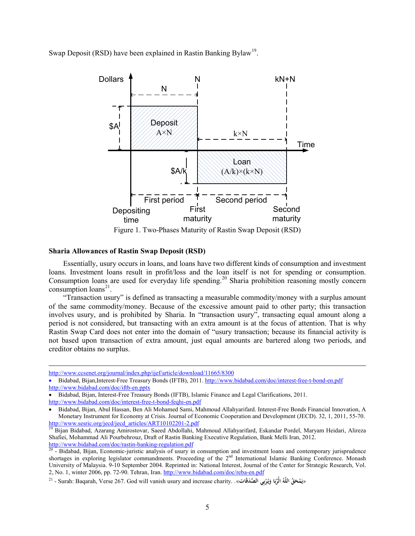Swap Deposit (RSD) have been explained in Rastin Banking Bylaw<sup>[19](#page-4-0)</sup>.



# **Sharia Allowances of Rastin Swap Deposit (RSD)**

Essentially, usury occurs in loans, and loans have two different kinds of consumption and investment loans. Investment loans result in profit/loss and the loan itself is not for spending or consumption. Consumption loans are used for everyday life spending. [20](#page-4-1) Sharia prohibition reasoning mostly concern consumption  $\text{loans}^{21}$  $\text{loans}^{21}$  $\text{loans}^{21}$ .

"Transaction usury" is defined as transacting a measurable commodity/money with a surplus amount of the same commodity/money. Because of the excessive amount paid to other party; this transaction involves usury, and is prohibited by Sharia. In "transaction usury", transacting equal amount along a period is not considered, but transacting with an extra amount is at the focus of attention. That is why Rastin Swap Card does not enter into the domain of "usury transaction; because its financial activity is not based upon transaction of extra amount, just equal amounts are bartered along two periods, and creditor obtains no surplus.

 $\overline{\phantom{a}}$ 

<http://www.ccsenet.org/journal/index.php/ijef/article/download/11665/8300>

<sup>•</sup> Bidabad, Bijan,Interest-Free Treasury Bonds (IFTB), 2011[. http://www.bidabad.com/doc/interest-free-t-bond-en.pdf](http://www.bidabad.com/doc/interest-free-t-bond-en.pdf) <http://www.bidabad.com/doc/iftb-en.pptx>

<sup>•</sup> Bidabad, Bijan, Interest-Free Treasury Bonds (IFTB), Islamic Finance and Legal Clarifications, 2011.

<http://www.bidabad.com/doc/interest-free-t-bond-feqhi-en.pdf>

<sup>•</sup> Bidabad, Bijan, Abul Hassan, Ben Ali Mohamed Sami, Mahmoud Allahyarifard. Interest-Free Bonds Financial Innovation, A Monetary Instrument for Economy at Crisis. Journal of Economic Cooperation and Development (JECD). 32, 1, 2011, 55-70.

<span id="page-4-0"></span>[http://www.sesric.org/jecd/jecd\\_articles/ART10102201-2.pdf](http://www.sesric.org/jecd/jecd_articles/ART10102201-2.pdf)<br><sup>19</sup> Bijan Bidabad, Azarang Amirostovar, Saeed Abdollahi, Mahmoud Allahyarifard, Eskandar Pordel, Maryam Heidari, Alireza Shafiei, Mohammad Ali Pourbehrouz, Draft of Rastin Banking Executive Regulation, Bank Melli Iran, 2012.<br>http://www.bidabad.com/doc/rastin-banking-regulation.pdf

<span id="page-4-1"></span> $\frac{1}{20}$  - Bidabad. Bijan, Economic-juristic analysis of usury in consumption and investment loans and contemporary jurisprudence shortages in exploring legislator commandments. Proceeding of the 2<sup>nd</sup> International Islamic Banking Conference. Monash University of Malaysia. 9-10 September 2004. Reprinted in: National Interest, Journal of the Center for Strategic Research, Vol. 2, No. 1, winter 2006, pp. 72-90. Tehran, Iran[. http://www.bidabad.com/doc/reba-en.pdf](http://www.bidabad.com/doc/reba-en.pdf)

<span id="page-4-2"></span><sup>21 -</sup> Surah: Baqarah, Verse 267. God will vanish usury and increase charity. . «يَمْحَقُ اللَّهُ الْرِّبَا وَيُرْبِي الصَّدَقَات». . [12] - Surah: Baqarah, Verse 267. God will vanish usury and increase charity **َ**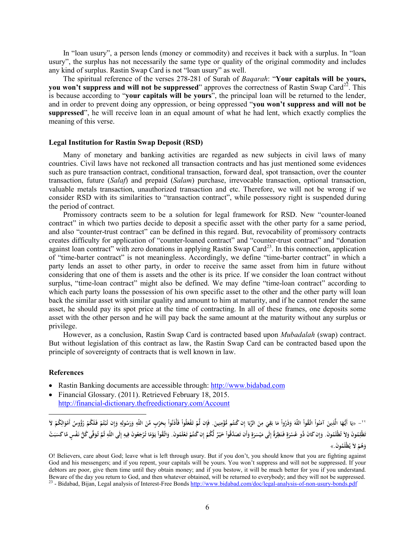In "loan usury", a person lends (money or commodity) and receives it back with a surplus. In "loan usury", the surplus has not necessarily the same type or quality of the original commodity and includes any kind of surplus. Rastin Swap Card is not "loan usury" as well.

The spiritual reference of the verses 278-281 of Surah of *Baqarah*: "**Your capitals will be yours, you won't suppress and will not be suppressed**" approves the correctness of Rastin Swap Card<sup>[22](#page-5-0)</sup>. This is because according to "**your capitals will be yours**", the principal loan will be returned to the lender, and in order to prevent doing any oppression, or being oppressed "**you won't suppress and will not be suppressed**", he will receive loan in an equal amount of what he had lent, which exactly complies the meaning of this verse.

# **Legal Institution for Rastin Swap Deposit (RSD)**

Many of monetary and banking activities are regarded as new subjects in civil laws of many countries. Civil laws have not reckoned all transaction contracts and has just mentioned some evidences such as pure transaction contract, conditional transaction, forward deal, spot transaction, over the counter transaction, future (*Salaf*) and prepaid (*Salam*) purchase, irrevocable transaction, optional transaction, valuable metals transaction, unauthorized transaction and etc. Therefore, we will not be wrong if we consider RSD with its similarities to "transaction contract", while possessory right is suspended during the period of contract.

Promissory contracts seem to be a solution for legal framework for RSD. New "counter-loaned contract" in which two parties decide to deposit a specific asset with the other party for a same period, and also "counter-trust contract" can be defined in this regard. But, revocability of promissory contracts creates difficulty for application of "counter-loaned contract" and "counter-trust contract" and "donation against loan contract" with zero donations in applying Rastin Swap Card<sup>23</sup>. In this connection, application of "time-barter contract" is not meaningless. Accordingly, we define "time-barter contract" in which a party lends an asset to other party, in order to receive the same asset from him in future without considering that one of them is assets and the other is its price. If we consider the loan contract without surplus, "time-loan contract" might also be defined. We may define "time-loan contract" according to which each party loans the possession of his own specific asset to the other and the other party will loan back the similar asset with similar quality and amount to him at maturity, and if he cannot render the same asset, he should pay its spot price at the time of contracting. In all of these frames, one deposits some asset with the other person and he will pay back the same amount at the maturity without any surplus or privilege.

However, as a conclusion, Rastin Swap Card is contracted based upon *Mubadalah* (swap) contract. But without legislation of this contract as law, the Rastin Swap Card can be contracted based upon the principle of sovereignty of contracts that is well known in law.

## **References**

 $\overline{\phantom{a}}$ 

- Rastin Banking documents are accessible through: [http://www.bidabad.com](http://www.bidabad.com/)
- Financial Glossary. (2011). Retrieved February 18, 2015. <http://financial-dictionary.thefreedictionary.com/Account>

<span id="page-5-0"></span>`' – «يَا أَيُّهَا الَّذِينَ آمَنُواْ اتَّلَّهُواْ اللّهَ وَذَرُواْ مَا بَقِيَ مِنَ الرِّبَا إِن كُتُم مُّؤْمِنِينَ. فَإِن لَّمْ تَفْعَلُواْ فَأَذَنُواْ بِحَرْبِ مِّنَ الرِّبَا إِن كُتُم مُّؤْمِنِينَ. فَإِن لَمْ تَفْعَلُو **َ إ َ ِ َ ِ َ ِ**تَطْلِمُونَ وَلاَ تُطْلَمُونَ. وَإِن كَانَ ذُو عُسْرَةٍ فَنَظِرَةٌ إِلَى مَيْسَرَةٍ وَأَن تَصَدَّقُواْ خَيْرٌ لَّكُمْ إِن كُتُمْ تَعْلَمُونَ. وَإِضْمَا تَعْلَمُوا خَيْرٌ لَّكُمْ إِن كُتُمْ تَعْلَمُونَ. وَإِضْ تَصَادَتُوا خ **َ َ َ ٍَ إ َ َ َ** وَهُمْ لاَ يُظْلَمُونَ.»

O! Believers, care about God; leave what is left through usury. But if you don't, you should know that you are fighting against God and his messengers; and if you repent, your capitals will be yours. You won't suppress and will not be suppressed. If your debtors are poor, give them time until they obtain money; and if you bestow, it will be much better for you if you understand.<br>Beware of the day you return to God, and then whatever obtained, will be returned to everybody; <sup>23</sup> - Bidabad, Bijan, Legal analysis of Interest-Free Bond[s http://www.bidabad.com/doc/legal-analysis-of-non-usury-bonds.pdf](http://www.bidabad.com/doc/legal-analysis-of-non-usury-bonds.pdf)

<span id="page-5-1"></span>